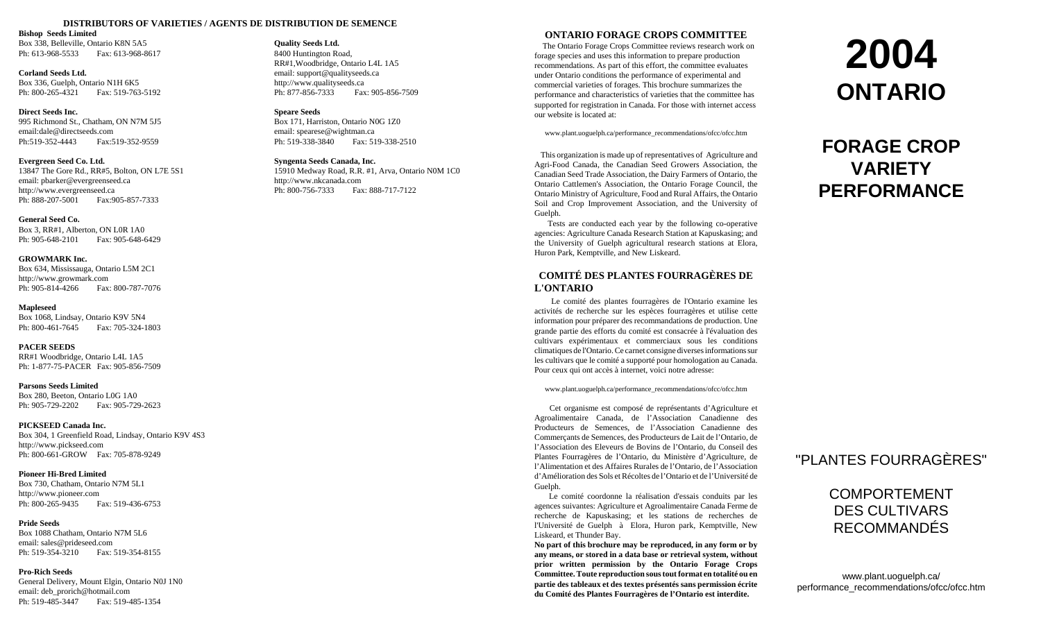#### **DISTRIBUTORS OF VARIETIES / AGENTS DE DISTRIBUTION DE SEMENCE**

#### **Bishop Seeds Limited**

Box 338, Belleville, Ontario K8N 5A5 Ph: 613-968-5533 Fax: 613-968-8617

**Corland Seeds Ltd.**Box 336, Guelph, Ontario N1H 6K5 Ph: 800-265-4321 Fax: 519-763-5192

#### **Direct Seeds Inc.**

995 Richmond St., Chatham, ON N7M 5J5 email:dale@directseeds.comPh:519-352-4443 Fax:519-352-9559

#### **Evergreen Seed Co. Ltd.**

13847 The Gore Rd., RR#5, Bolton, ON L7E 5S1 email: pbarker@evergreenseed.ca http://www.evergreenseed.ca Ph: 888-207-5001 Fax:905-857-7333

#### **General Seed Co.**

Box 3, RR#1, Alberton, ON L0R 1A0 Ph: 905-648-2101 Fax: 905-648-6429

#### **GROWMARK Inc.**

Box 634, Mississauga, Ontario L5M 2C1 http://www.growmark.com Ph: 905-814-4266 Fax: 800-787-7076

#### **Mapleseed**

Box 1068, Lindsay, Ontario K9V 5N4 Ph: 800-461-7645 Fax: 705-324-1803

#### **PACER SEEDS**

RR#1 Woodbridge, Ontario L4L 1A5 Ph: 1-877-75-PACER Fax: 905-856-7509

#### **Parsons Seeds Limited**

Box 280, Beeton, Ontario L0G 1A0 Ph: 905-729-2202 Fax: 905-729-2623

#### **PICKSEED Canada Inc.**

Box 304, 1 Greenfield Road, Lindsay, Ontario K9V 4S3 http://www.pickseed.com Ph: 800-661-GROW Fax: 705-878-9249

#### **Pioneer Hi-Bred Limited**

Box 730, Chatham, Ontario N7M 5L1 http://www.pioneer.com Ph: 800-265-9435 Fax: 519-436-6753

#### **Pride Seeds**

Box 1088 Chatham, Ontario N7M 5L6 email: sales@prideseed.com Ph: 519-354-3210 Fax: 519-354-8155

#### **Pro-Rich Seeds**

General Delivery, Mount Elgin, Ontario N0J 1N0 email: deb\_prorich@hotmail.com Ph: 519-485-3447 Fax: 519-485-1354

# **Quality Seeds Ltd.** 8400 Huntington Road,

RR#1,Woodbridge, Ontario L4L 1A5 email: support@qualityseeds.ca http://www.qualityseeds.ca Ph: 877-856-7333 Fax: 905-856-7509

#### **Speare Seeds**

Box 171, Harriston, Ontario N0G 1Z0 email: spearese@wightman.ca Ph: 519-338-3840 Fax: 519-338-2510

#### **Syngenta Seeds Canada, Inc.**

15910 Medway Road, R.R. #1, Arva, Ontario N0M 1C0 http://www.nkcanada.com Ph: 800-756-7333 Fax: 888-717-7122

### **ONTARIO FORAGE CROPS COMMITTEE**

 The Ontario Forage Crops Committee reviews research work on forage species and uses this information to prepare production recommendations. As part of this effort, the committee evaluates under Ontario conditions the performance of experimental and commercial varieties of forages. This brochure summarizes the performance and characteristics of varieties that the committee has supported for registration in Canada. For those with internet access our website is located at:

www.plant.uoguelph.ca/performance\_recommendations/ofcc/ofcc.htm

 This organization is made up of representatives of Agriculture and Agri-Food Canada, the Canadian Seed Growers Association, the Canadian Seed Trade Association, the Dairy Farmers of Ontario, the Ontario Cattlemen's Association, the Ontario Forage Council, the Ontario Ministry of Agriculture, Food and Rural Affairs, the Ontario Soil and Crop Improvement Association, and the University of Guelph.

 Tests are conducted each year by the following co-operative agencies: Agriculture Canada Research Station at Kapuskasing; and the University of Guelph agricultural research stations at Elora, Huron Park, Kemptville, and New Liskeard.

## **COMITÉ DES PLANTES FOURRAGÈRES DEL'ONTARIO**

Le comité des plantes fourragères de l'Ontario examine les activités de recherche sur les espèces fourragères et utilise cette information pour préparer des recommandations de production. Une grande partie des efforts du comité est consacrée à l'évaluation des cultivars expérimentaux et commerciaux sous les conditions climatiques de l'Ontario. Ce carnet consigne diverses informations sur les cultivars que le comité a supporté pour homologation au Canada. Pour ceux qui ont accès à internet, voici notre adresse:

www.plant.uoguelph.ca/performance\_recommendations/ofcc/ofcc.htm

 Cet organisme est composé de représentants d'Agriculture et Agroalimentaire Canada, de l'Association Canadienne des Producteurs de Semences, de l'Association Canadienne des Commerçants de Semences, des Producteurs de Lait de l'Ontario, de l'Association des Eleveurs de Bovins de l'Ontario, du Conseil des Plantes Fourragères de l'Ontario, du Ministère d'Agriculture, de l'Alimentation et des Affaires Rurales de l'Ontario, de l'Association d'Amélioration des Sols et Récoltes de l'Ontario et de l'Université deGuelph.

 Le comité coordonne la réalisation d'essais conduits par les agences suivantes: Agriculture et Agroalimentaire Canada Ferme de recherche de Kapuskasing; et les stations de recherches de l'Université de Guelph à Elora, Huron park, Kemptville, New Liskeard, et Thunder Bay.

**No part of this brochure may be reproduced, in any form or by any means, or stored in a data base or retrieval system, without prior written permission by the Ontario Forage Crops Committee. Toute reproduction sous tout format en totalité ou en partie des tableaux et des textes présentés sans permission écrite du Comité des Plantes Fourragères de l'Ontario est interdite.**

# **2004 ONTARIO**

# **FORAGE CROPVARIETYPERFORMANCE**

# "PLANTES FOURRAGÈRES"

COMPORTEMENTDES CULTIVARSRECOMMANDÉS

www.plant.uoguelph.ca/ performance\_recommendations/ofcc/ofcc.htm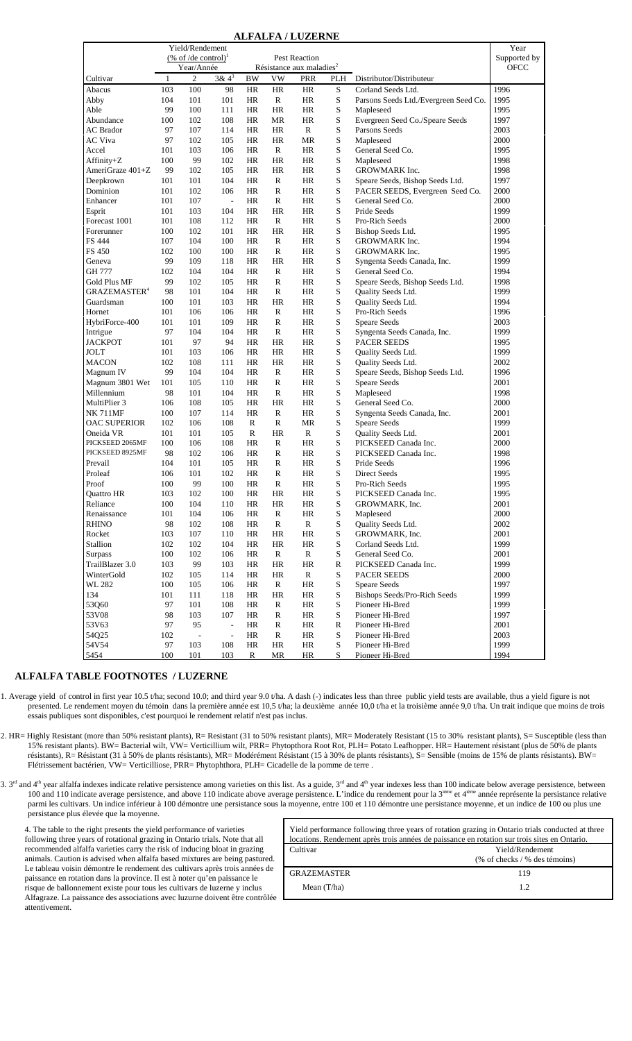|                          |     | Yield/Rendement                 |                          |                                      |              |               |             |                                       | Year         |
|--------------------------|-----|---------------------------------|--------------------------|--------------------------------------|--------------|---------------|-------------|---------------------------------------|--------------|
|                          |     | (% of /de control) <sup>1</sup> |                          |                                      |              | Pest Reaction |             |                                       | Supported by |
|                          |     | Year/Année                      |                          | Résistance aux maladies <sup>2</sup> |              |               | <b>OFCC</b> |                                       |              |
| Cultivar                 | 1   | $\overline{c}$                  | $3 & 4^3$                | BW                                   | VW           | PRR           | PLH         | Distributor/Distributeur              |              |
| Abacus                   | 103 | 100                             | 98                       | HR                                   | HR           | HR            | S           | Corland Seeds Ltd.                    | 1996         |
| Abby                     | 104 | 101                             | 101                      | HR                                   | R            | HR            | S           | Parsons Seeds Ltd./Evergreen Seed Co. | 1995         |
| Able                     | 99  | 100                             | 111                      | HR                                   | HR           | HR            | S           | Mapleseed                             | 1995         |
| Abundance                | 100 | 102                             | 108                      | HR                                   | MR           | HR            | S           | Evergreen Seed Co./Speare Seeds       | 1997         |
| <b>AC</b> Brador         | 97  | 107                             | 114                      | HR                                   | HR           | $\mathbb{R}$  | S           | Parsons Seeds                         | 2003         |
| AC Viva                  | 97  | 102                             | 105                      | HR                                   | HR           | MR            | S           | Mapleseed                             | 2000         |
| Accel                    | 101 | 103                             | 106                      | HR                                   | R            | HR            | S           | General Seed Co.                      | 1995         |
| Affinity+Z               | 100 | 99                              | 102                      | HR                                   | HR           | <b>HR</b>     | S           | Mapleseed                             | 1998         |
| AmeriGraze 401+Z         | 99  | 102                             | 105                      | HR                                   | HR           | HR            | S           | GROWMARK Inc.                         | 1998         |
| Deepkrown                | 101 | 101                             | 104                      | HR                                   | R            | HR            | S           | Speare Seeds, Bishop Seeds Ltd.       | 1997         |
| Dominion                 | 101 | 102                             | 106                      | HR                                   | R            | HR            | S           | PACER SEEDS, Evergreen Seed Co.       | 2000         |
| Enhancer                 | 101 | 107                             | $\overline{\phantom{a}}$ | HR                                   | $\mathbb{R}$ | HR.           | S           | General Seed Co.                      | 2000         |
| Esprit                   | 101 | 103                             | 104                      | HR                                   | HR           | HR            | S           | Pride Seeds                           | 1999         |
| Forecast 1001            | 101 | 108                             | 112                      | HR                                   | R            | HR            | S           | Pro-Rich Seeds                        | 2000         |
| Forerunner               | 100 | 102                             | 101                      | HR                                   | HR           | HR            | S           |                                       | 1995         |
| FS 444                   | 107 | 104                             | 100                      | HR                                   | R            | HR.           | S           | Bishop Seeds Ltd.                     | 1994         |
|                          |     |                                 | 100                      |                                      | $\mathbb{R}$ | HR            | S           | GROWMARK Inc.                         | 1995         |
| FS 450                   | 102 | 100                             |                          | HR                                   |              |               |             | GROWMARK Inc.                         |              |
| Geneva                   | 99  | 109                             | 118                      | HR                                   | HR           | HR            | S           | Syngenta Seeds Canada, Inc.           | 1999         |
| GH 777                   | 102 | 104                             | 104                      | HR                                   | ${\bf R}$    | HR            | S           | General Seed Co.                      | 1994         |
| Gold Plus MF             | 99  | 102                             | 105                      | HR                                   | R            | HR            | S           | Speare Seeds, Bishop Seeds Ltd.       | 1998         |
| $\mathsf{GRAZEMASTER}^4$ | 98  | 101                             | 104                      | HR                                   | $\mathbb{R}$ | HR            | S           | Quality Seeds Ltd.                    | 1999         |
| Guardsman                | 100 | 101                             | 103                      | HR                                   | HR           | HR            | S           | Quality Seeds Ltd.                    | 1994         |
| Hornet                   | 101 | 106                             | 106                      | HR                                   | $\mathbb{R}$ | HR            | S           | Pro-Rich Seeds                        | 1996         |
| HybriForce-400           | 101 | 101                             | 109                      | HR                                   | R            | HR            | S           | <b>Speare Seeds</b>                   | 2003         |
| Intrigue                 | 97  | 104                             | 104                      | HR                                   | $\mathbb{R}$ | HR            | S           | Syngenta Seeds Canada, Inc.           | 1999         |
| JACKPOT                  | 101 | 97                              | 94                       | HR                                   | HR           | HR            | S           | <b>PACER SEEDS</b>                    | 1995         |
| JOLT                     | 101 | 103                             | 106                      | HR                                   | HR           | HR            | S           | Quality Seeds Ltd.                    | 1999         |
| <b>MACON</b>             | 102 | 108                             | 111                      | HR                                   | HR           | HR            | S           | Quality Seeds Ltd.                    | 2002         |
| Magnum IV                | 99  | 104                             | 104                      | HR                                   | R            | HR            | S           | Speare Seeds, Bishop Seeds Ltd.       | 1996         |
| Magnum 3801 Wet          | 101 | 105                             | 110                      | HR                                   | $\mathbb{R}$ | HR            | S           | <b>Speare Seeds</b>                   | 2001         |
| Millennium               | 98  | 101                             | 104                      | HR                                   | $\mathbb{R}$ | HR            | S           | Mapleseed                             | 1998         |
| MultiPlier 3             | 106 | 108                             | 105                      | HR                                   | HR           | HR            | S           | General Seed Co.                      | 2000         |
| NK 711MF                 | 100 | 107                             | 114                      | HR                                   | R            | HR            | S           | Syngenta Seeds Canada, Inc.           | 2001         |
| OAC SUPERIOR             | 102 | 106                             | 108                      | R                                    | R            | MR            | S           | Speare Seeds                          | 1999         |
| Oneida VR                | 101 | 101                             | 105                      | R                                    | HR           | R             | S           | Quality Seeds Ltd.                    | 2001         |
| PICKSEED 2065MF          | 100 | 106                             | 108                      | HR                                   | R            | HR            | S           | PICKSEED Canada Inc.                  | 2000         |
| PICKSEED 8925MF          | 98  | 102                             | 106                      | HR                                   | R            | HR            | S           | PICKSEED Canada Inc.                  | 1998         |
| Prevail                  | 104 | 101                             | 105                      | HR                                   | R            | HR            | S           | Pride Seeds                           | 1996         |
| Proleaf                  | 106 | 101                             | 102                      | HR                                   | $\mathbb{R}$ | HR            | S           | Direct Seeds                          | 1995         |
| Proof                    | 100 | 99                              | 100                      | HR                                   | R            | HR            | S           | Pro-Rich Seeds                        | 1995         |
| Quattro HR               | 103 | 102                             | 100                      | HR                                   | HR           | HR            | S           | PICKSEED Canada Inc.                  | 1995         |
| Reliance                 | 100 | 104                             | 110                      | HR                                   | HR           | HR            | S           | GROWMARK, Inc.                        | 2001         |
| Renaissance              | 101 | 104                             | 106                      | <b>HR</b>                            | R            | <b>HR</b>     | S           | Mapleseed                             | 2000         |
| <b>RHINO</b>             | 98  | 102                             | 108                      | HR                                   |              | $\mathbb{R}$  | S           | Quality Seeds Ltd.                    | 2002         |
|                          |     |                                 |                          |                                      | R            |               |             |                                       |              |
| Rocket                   | 103 | 107                             | 110                      | HR                                   | HR           | HR            | S           | GROWMARK, Inc.                        | 2001         |
| Stallion                 | 102 | 102                             | 104                      | <b>HR</b>                            | HR           | <b>HR</b>     | $\mathbf S$ | Corland Seeds Ltd.                    | 1999         |
| <b>Surpass</b>           | 100 | 102                             | 106                      | HR                                   | R            | R             | S           | General Seed Co.                      | 2001         |
| TrailBlazer 3.0          | 103 | 99                              | 103                      | HR                                   | HR           | <b>HR</b>     | R           | PICKSEED Canada Inc.                  | 1999         |
| WinterGold               | 102 | 105                             | 114                      | HR                                   | HR           | $\mathbb{R}$  | S           | PACER SEEDS                           | 2000         |
| WL 282                   | 100 | 105                             | 106                      | HR                                   | $\mathbb{R}$ | HR            | S           | Speare Seeds                          | 1997         |
| 134                      | 101 | 111                             | 118                      | HR                                   | HR           | HR            | S           | Bishops Seeds/Pro-Rich Seeds          | 1999         |
| 53Q60                    | 97  | 101                             | 108                      | HR                                   | R            | HR            | S           | Pioneer Hi-Bred                       | 1999         |
| 53V08                    | 98  | 103                             | 107                      | HR                                   | R            | HR            | S           | Pioneer Hi-Bred                       | 1997         |
| 53V63                    | 97  | 95                              | Ĭ.                       | HR                                   | R            | HR            | R           | Pioneer Hi-Bred                       | 2001         |
| 54Q25                    | 102 | $\overline{\phantom{a}}$        | ÷,                       | HR                                   | ${\bf R}$    | HR            | S           | Pioneer Hi-Bred                       | 2003         |
| 54V54                    | 97  | 103                             | 108                      | $\rm{HR}$                            | HR           | HR            | S           | Pioneer Hi-Bred                       | 1999         |
| 5454                     | 100 | 101                             | 103                      | R                                    | <b>MR</b>    | HR            | S           | Pioneer Hi-Bred                       | 1994         |

# **ALFALFA TABLE FOOTNOTES / LUZERNE**

1. Average yield of control in first year 10.5 t/ha; second 10.0; and third year 9.0 t/ha. A dash (-) indicates less than three public yield tests are available, thus a yield figure is not presented. Le rendement moyen du témoin dans la première année est 10,5 t/ha; la deuxième année 10,0 t/ha et la troisième année 9,0 t/ha. Un trait indique que moins de trois essais publiques sont disponibles, c'est pourquoi le rendement relatif n'est pas inclus.

2. HR= Highly Resistant (more than 50% resistant plants), R= Resistant (31 to 50% resistant plants), MR= Moderately Resistant (15 to 30% resistant plants), S= Susceptible (less than 15% resistant plants). BW= Bacterial wilt, VW= Verticillium wilt, PRR= Phytopthora Root Rot, PLH= Potato Leafhopper. HR= Hautement résistant (plus de 50% de plants résistants), R= Résistant (31 à 50% de plants résistants), MR= Modérément Résistant (15 à 30% de plants résistants), S= Sensible (moins de 15% de plants résistants). BW= Flétrissement bactérien, VW= Verticilliose, PRR= Phytophthora, PLH= Cicadelle de la pomme de terre .

3.  $3<sup>rd</sup>$  and  $4<sup>th</sup>$  year alfalfa indexes indicate relative persistence among varieties on this list. As a guide,  $3<sup>rd</sup>$  and  $4<sup>th</sup>$  year indexes less than 100 indicate below average persistence, between 100 and 110 indicate average persistence, and above 110 indicate above average persistence. L'indice du rendement pour la 3<sup>ième</sup> et 4<sup>ième</sup> année représente la persistance relative parmi les cultivars. Un indice inférieur à 100 démontre une persistance sous la moyenne, entre 100 et 110 démontre une persistance moyenne, et un indice de 100 ou plus une persistance plus élevée que la moyenne.

 $\mathbf{r}$ 

4. The table to the right presents the yield performance of varieties following three years of rotational grazing in Ontario trials. Note that all recommended alfalfa varieties carry the risk of inducing bloat in grazing animals. Caution is advised when alfalfa based mixtures are being pastured. Le tableau voisin démontre le rendement des cultivars après trois années de paissance en rotation dans la province. Il est à noter qu'en paissance le risque de ballonnement existe pour tous les cultivars de luzerne y inclus Alfagraze. La paissance des associations avec luzurne doivent être contrôlée attentivement.

| Yield performance following three years of rotation grazing in Ontario trials conducted at three<br>locations. Rendement après trois années de paissance en rotation sur trois sites en Ontario. |                                                     |  |  |  |  |  |  |
|--------------------------------------------------------------------------------------------------------------------------------------------------------------------------------------------------|-----------------------------------------------------|--|--|--|--|--|--|
| Cultivar                                                                                                                                                                                         | Yield/Rendement<br>$(\%$ of checks / % des témoins) |  |  |  |  |  |  |
| <b>GRAZEMASTER</b>                                                                                                                                                                               | 119                                                 |  |  |  |  |  |  |
| Mean $(T/ha)$                                                                                                                                                                                    | 12                                                  |  |  |  |  |  |  |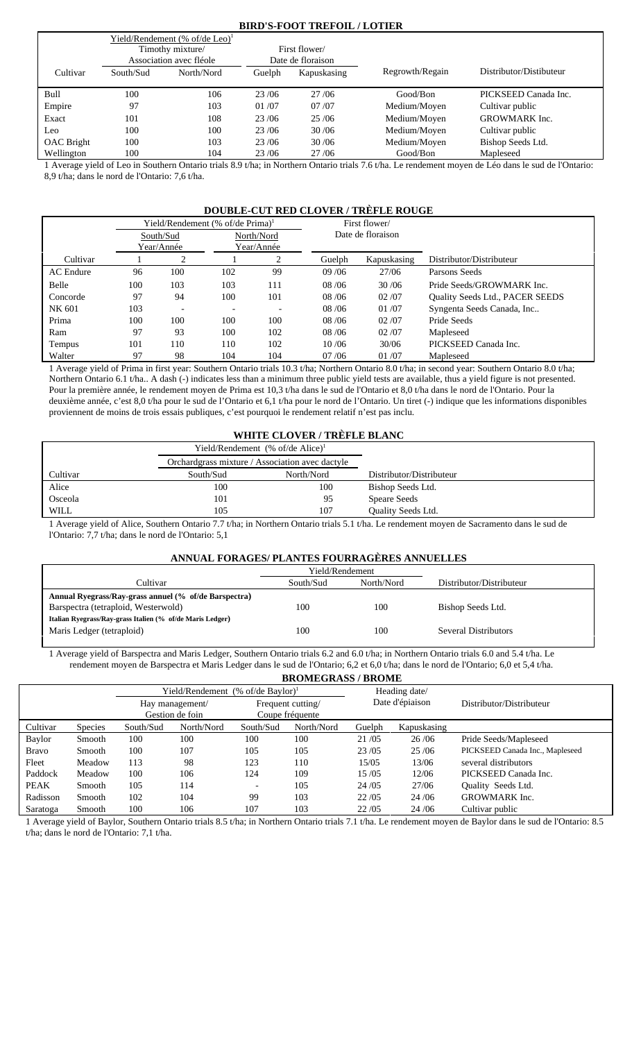# **BIRD'S-FOOT TREFOIL / LOTIER**

|                   |           | Yield/Rendement $%$ of/de Leo) <sup>1</sup> |        |                   |                 |                         |
|-------------------|-----------|---------------------------------------------|--------|-------------------|-----------------|-------------------------|
|                   |           | Timothy mixture/                            |        | First flower/     |                 |                         |
|                   |           | Association avec fléole                     |        | Date de floraison |                 |                         |
| Cultivar          | South/Sud | North/Nord                                  | Guelph | Kapuskasing       | Regrowth/Regain | Distributor/Distibuteur |
| Bull              | 100       | 106                                         | 23/06  | 27 / 06           | Good/Bon        | PICKSEED Canada Inc.    |
| Empire            | 97        | 103                                         | 01/07  | 07/07             | Medium/Moyen    | Cultivar public         |
| Exact             | 101       | 108                                         | 23/06  | 25/06             | Medium/Moyen    | <b>GROWMARK</b> Inc.    |
| Leo               | 100       | 100                                         | 23/06  | 30/06             | Medium/Moyen    | Cultivar public         |
| <b>OAC</b> Bright | 100       | 103                                         | 23/06  | 30/06             | Medium/Moyen    | Bishop Seeds Ltd.       |
| Wellington        | 100       | 104                                         | 23/06  | 27/06             | Good/Bon        | Mapleseed               |

1 Average yield of Leo in Southern Ontario trials 8.9 t/ha; in Northern Ontario trials 7.6 t/ha. Le rendement moyen de Léo dans le sud de l'Ontario: 8,9 t/ha; dans le nord de l'Ontario: 7,6 t/ha.

# **DOUBLE-CUT RED CLOVER / TRÈFLE ROUGE**

|                  |     |                          | Yield/Rendement (% of/de Prima) <sup>1</sup> |                          |         | First flower/     |                                 |
|------------------|-----|--------------------------|----------------------------------------------|--------------------------|---------|-------------------|---------------------------------|
|                  |     | South/Sud                |                                              | North/Nord               |         | Date de floraison |                                 |
|                  |     | Year/Année               |                                              | Year/Année               |         |                   |                                 |
| Cultivar         |     | ↑                        |                                              | 2                        | Guelph  | Kapuskasing       | Distributor/Distributeur        |
| <b>AC</b> Endure | 96  | 100                      | 102                                          | 99                       | 09/06   | 27/06             | Parsons Seeds                   |
| Belle            | 100 | 103                      | 103                                          | 111                      | 08/06   | 30/06             | Pride Seeds/GROWMARK Inc.       |
| Concorde         | 97  | 94                       | 100                                          | 101                      | 08 / 06 | 02/07             | Quality Seeds Ltd., PACER SEEDS |
| NK 601           | 103 | $\overline{\phantom{0}}$ |                                              | $\overline{\phantom{0}}$ | 08/06   | 01/07             | Syngenta Seeds Canada, Inc      |
| Prima            | 100 | 100                      | 100                                          | 100                      | 08 / 06 | 02/07             | Pride Seeds                     |
| Ram              | 97  | 93                       | 100                                          | 102                      | 08 / 06 | 02/07             | Mapleseed                       |
| Tempus           | 101 | 110                      | 110                                          | 102                      | 10/06   | 30/06             | PICKSEED Canada Inc.            |
| Walter           | 97  | 98                       | 104                                          | 104                      | 07/06   | 01/07             | Mapleseed                       |

1 Average yield of Prima in first year: Southern Ontario trials 10.3 t/ha; Northern Ontario 8.0 t/ha; in second year: Southern Ontario 8.0 t/ha; Northern Ontario 6.1 t/ha.. A dash (-) indicates less than a minimum three public yield tests are available, thus a yield figure is not presented. Pour la première année, le rendement moyen de Prima est 10,3 t/ha dans le sud de l'Ontario et 8,0 t/ha dans le nord de l'Ontario. Pour la deuxième année, c'est 8,0 t/ha pour le sud de l'Ontario et 6,1 t/ha pour le nord de l'Ontario. Un tiret (-) indique que les informations disponibles proviennent de moins de trois essais publiques, c'est pourquoi le rendement relatif n'est pas inclu.

# **WHITE CLOVER / TRÈFLE BLANC**

|          | Yield/Rendement $%$ of/de Alice) <sup>1</sup>   |            |                          |
|----------|-------------------------------------------------|------------|--------------------------|
|          | Orchardgrass mixture / Association avec dactyle |            |                          |
| Cultivar | South/Sud                                       | North/Nord | Distributor/Distributeur |
| Alice    | 100                                             | 100        | Bishop Seeds Ltd.        |
| Osceola  | 101                                             | 95         | <b>Speare Seeds</b>      |
| WILL     | 105                                             | 107        | Quality Seeds Ltd.       |

1 Average yield of Alice, Southern Ontario 7.7 t/ha; in Northern Ontario trials 5.1 t/ha. Le rendement moyen de Sacramento dans le sud de l'Ontario: 7,7 t/ha; dans le nord de l'Ontario: 5,1

# **ANNUAL FORAGES/ PLANTES FOURRAGÈRES ANNUELLES**

|                                                           | Yield/Rendement |            |                          |
|-----------------------------------------------------------|-----------------|------------|--------------------------|
| Cultivar                                                  | South/Sud       | North/Nord | Distributor/Distributeur |
| Annual Ryegrass/Ray-grass annuel (% of/de Barspectra)     |                 |            |                          |
| Barspectra (tetraploid, Westerwold)                       | 100             | 100        | Bishop Seeds Ltd.        |
| Italian Ryegrass/Ray-grass Italien (% of/de Maris Ledger) |                 |            |                          |
| Maris Ledger (tetraploid)                                 | 100             | 100        | Several Distributors     |
|                                                           |                 |            |                          |

1 Average yield of Barspectra and Maris Ledger, Southern Ontario trials 6.2 and 6.0 t/ha; in Northern Ontario trials 6.0 and 5.4 t/ha. Le rendement moyen de Barspectra et Maris Ledger dans le sud de l'Ontario; 6,2 et 6,0 t/ha; dans le nord de l'Ontario; 6,0 et 5,4 t/ha. **BROMEGRASS / BROME**

|              |                |           | Yield/Rendement (% of/de Baylor) <sup>1</sup> |                                      |            | Heading date/   |             |                                 |  |
|--------------|----------------|-----------|-----------------------------------------------|--------------------------------------|------------|-----------------|-------------|---------------------------------|--|
|              |                |           | Hay management/<br>Gestion de foin            | Frequent cutting/<br>Coupe fréquente |            | Date d'épiaison |             | Distributor/Distributeur        |  |
| Cultivar     | <b>Species</b> | South/Sud | North/Nord                                    | South/Sud                            | North/Nord | Guelph          | Kapuskasing |                                 |  |
| Baylor       | Smooth         | 100       | 100                                           | 100                                  | 100        | 21/05           | 26/06       | Pride Seeds/Mapleseed           |  |
| <b>Bravo</b> | Smooth         | 100       | 107                                           | 105                                  | 105        | 23/05           | 25/06       | PICKSEED Canada Inc., Mapleseed |  |
| Fleet        | Meadow         | 113       | 98                                            | 123                                  | 110        | 15/05           | 13/06       | several distributors            |  |
| Paddock      | Meadow         | 100       | 106                                           | 124                                  | 109        | 15/05           | 12/06       | PICKSEED Canada Inc.            |  |
| <b>PEAK</b>  | Smooth         | 105       | 114                                           |                                      | 105        | 24/05           | 27/06       | Quality Seeds Ltd.              |  |
| Radisson     | Smooth         | 102       | 104                                           | 99                                   | 103        | 22/05           | 24/06       | <b>GROWMARK</b> Inc.            |  |
| Saratoga     | Smooth         | 100       | 106                                           | 107                                  | 103        | 22/05           | 24/06       | Cultivar public                 |  |

1 Average yield of Baylor, Southern Ontario trials 8.5 t/ha; in Northern Ontario trials 7.1 t/ha. Le rendement moyen de Baylor dans le sud de l'Ontario: 8.5 t/ha; dans le nord de l'Ontario: 7,1 t/ha.